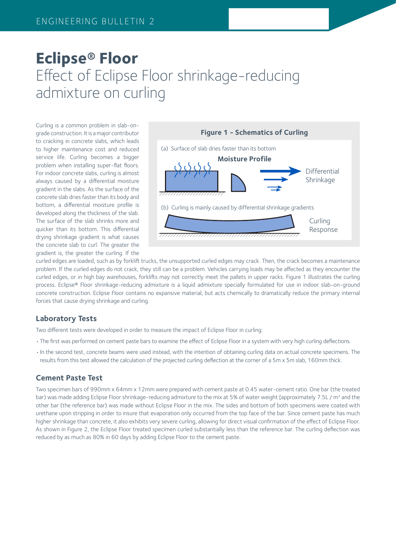# **Eclipse® Floor** Effect of Eclipse Floor shrinkage-reducing admixture on curling

Curling is a common problem in slab-ongrade construction. It is a major contributor to cracking in concrete slabs, which leads to higher maintenance cost and reduced service life. Curling becomes a bigger problem when installing super-flat floors. For indoor concrete slabs, curling is almost always caused by a differential moisture gradient in the slabs. As the surface of the concrete slab dries faster than its body and bottom, a differential moisture profile is developed along the thickness of the slab. The surface of the slab shrinks more and quicker than its bottom. This differential drying shrinkage gradient is what causes the concrete slab to curl. The greater the gradient is, the greater the curling. If the



curled edges are loaded, such as by forklift trucks, the unsupported curled edges may crack. Then, the crack becomes a maintenance problem. If the curled edges do not crack, they still can be a problem. Vehicles carrying loads may be affected as they encounter the curled edges, or in high bay warehouses, forklifts may not correctly meet the pallets in upper racks. Figure 1 illustrates the curling process. Eclipse® Floor shrinkage-reducing admixture is a liquid admixture specially formulated for use in indoor slab-on-ground concrete construction. Eclipse Floor contains no expansive material, but acts chemically to dramatically reduce the primary internal forces that cause drying shrinkage and curling.

# **Laboratory Tests**

Two different tests were developed in order to measure the impact of Eclipse Floor in curling:

- •The first was performed on cement paste bars to examine the effect of Eclipse Floor in a system with very high curling deflections.
- •In the second test, concrete beams were used instead, with the intention of obtaining curling data on actual concrete specimens. The results from this test allowed the calculation of the projected curling deflection at the corner of a 5m x 5m slab, 160mm thick.

#### **Cement Paste Test**

Two specimen bars of 990mm x 64mm x 12mm were prepared with cement paste at 0.45 water-cement ratio. One bar (the treated bar) was made adding Eclipse Floor shrinkage-reducing admixture to the mix at 5% of water weight [approximately 7.5L / m<sup>3</sup> and the other bar (the reference bar) was made without Eclipse Floor in the mix. The sides and bottom of both specimens were coated with urethane upon stripping in order to insure that evaporation only occurred from the top face of the bar. Since cement paste has much higher shrinkage than concrete, it also exhibits very severe curling, allowing for direct visual confirmation of the effect of Eclipse Floor. As shown in Figure 2, the Eclipse Floor treated specimen curled substantially less than the reference bar. The curling deflection was reduced by as much as 80% in 60 days by adding Eclipse Floor to the cement paste.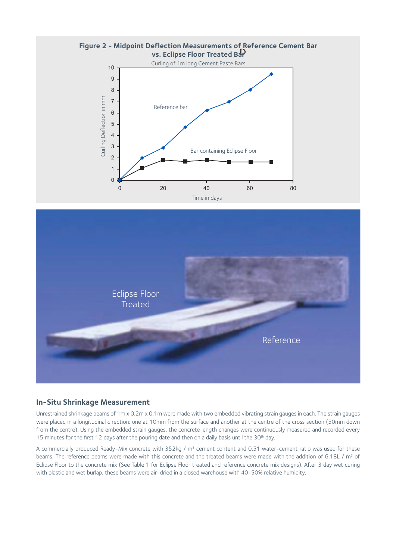



#### **In-Situ Shrinkage Measurement**

Unrestrained shrinkage beams of 1m x 0.2m x 0.1m were made with two embedded vibrating strain gauges in each. The strain gauges were placed in a longitudinal direction: one at 10mm from the surface and another at the centre of the cross section (50mm down from the centre). Using the embedded strain gauges, the concrete length changes were continuously measured and recorded every 15 minutes for the first 12 days after the pouring date and then on a daily basis until the 30<sup>th</sup> day.

A commercially produced Ready-Mix concrete with  $352$ kg / m<sup>3</sup> cement content and 0.51 water-cement ratio was used for these beams. The reference beams were made with this concrete and the treated beams were made with the addition of 6.18L / m<sup>3</sup> of Eclipse Floor to the concrete mix (See Table 1 for Eclipse Floor treated and reference concrete mix designs). After 3 day wet curing with plastic and wet burlap, these beams were air-dried in a closed warehouse with 40-50% relative humidity.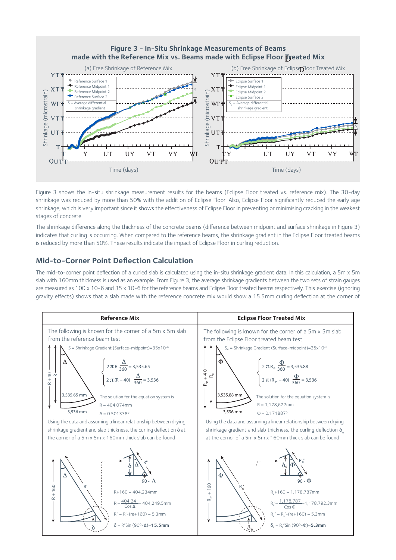

Figure 3 shows the in-situ shrinkage measurement results for the beams (Eclipse Floor treated vs. reference mix). The 30-day shrinkage was reduced by more than 50% with the addition of Eclipse Floor. Also, Eclipse Floor significantly reduced the early age shrinkage, which is very important since it shows the effectiveness of Eclipse Floor in preventing or minimising cracking in the weakest stages of concrete.

The shrinkage difference along the thickness of the concrete beams (difference between midpoint and surface shrinkage in Figure 3) indicates that curling is occurring. When compared to the reference beams, the shrinkage gradient in the Eclipse Floor treated beams is reduced by more than 50%. These results indicate the impact of Eclipse Floor in curling reduction.

# **Mid-to-Corner Point Deflection Calculation**

The mid-to-corner point deflection of a curled slab is calculated using the in-situ shrinkage gradient data. In this calculation, a 5m x 5m slab with 160mm thickness is used as an example. From Figure 3, the average shrinkage gradients between the two sets of strain gauges are measured as 100 x 10-6 and 35 x 10-6 for the reference beams and Eclipse Floor treated beams respectively. This exercise (ignoring gravity effects) shows that a slab made with the reference concrete mix would show a 15.5mm curling deflection at the corner of